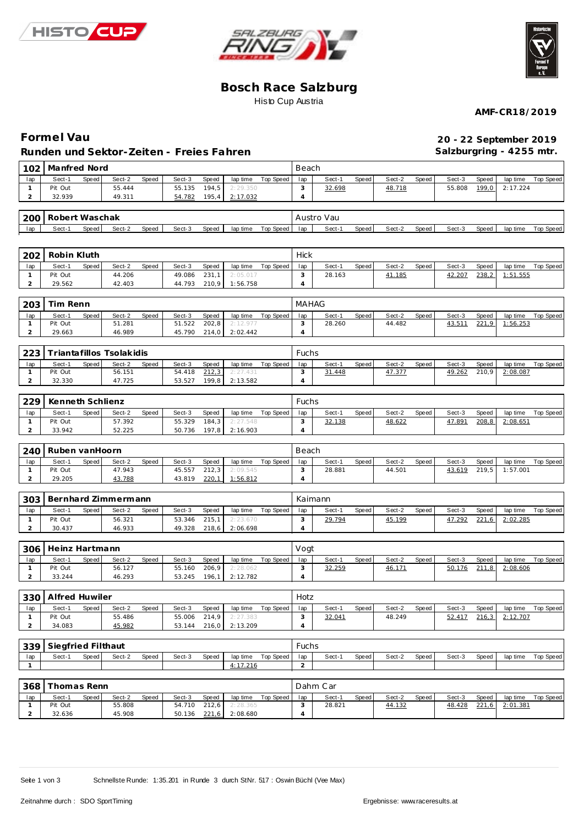





### **Bosch Race Salzburg** Histo Cup Austria

**AMF-CR18/2019**

## **Forme l Vau 20 - 22 September 2019 Runden und Sektor-Zeiten - Freies Fahren**

**Salzburgring - 4255 mtr.**

| 102                            | Manfred Nord       |       |                          |       |                  |                |                       |                    |                | Beach            |       |                  |       |                  |                |                      |                    |  |  |
|--------------------------------|--------------------|-------|--------------------------|-------|------------------|----------------|-----------------------|--------------------|----------------|------------------|-------|------------------|-------|------------------|----------------|----------------------|--------------------|--|--|
| lap                            | Sect-1             | Speed | Sect-2                   | Speed | Sect-3           | Speed          | lap time              | Top Speed          | lap            | Sect-1           | Speed | Sect-2           | Speed | Sect-3           | Speed          | lap time             | Top Speed          |  |  |
| $\mathbf{1}$                   | Pit Out            |       | 55.444                   |       | 55.135           | 194,5          | 2:29.350              |                    | 3              | 32.698           |       | 48.718           |       | 55.808           | 199,0          | 2:17.224             |                    |  |  |
| $\overline{a}$                 | 32.939             |       | 49.311                   |       | 54.782           | 195,4          | 2:17.032              |                    | $\overline{4}$ |                  |       |                  |       |                  |                |                      |                    |  |  |
| 200                            | Robert Waschak     |       |                          |       |                  |                |                       |                    | Austro Vau     |                  |       |                  |       |                  |                |                      |                    |  |  |
| lap                            | Sect-1             | Speed | Sect-2                   | Speed | Sect-3           | Speed          | lap time              | Top Speed          | lap            | Sect-1           | Speed | Sect-2           | Speed | Sect-3           | Speed          | lap time             | Top Speed          |  |  |
|                                |                    |       |                          |       |                  |                |                       |                    |                |                  |       |                  |       |                  |                |                      |                    |  |  |
| 202                            | Robin Kluth        |       |                          |       |                  |                |                       |                    | <b>Hick</b>    |                  |       |                  |       |                  |                |                      |                    |  |  |
| lap                            | Sect-1             | Speed | Sect-2                   | Speed | Sect-3           | Speed          | lap time              | Top Speed          | lap            | Sect-1           | Speed | Sect-2           | Speed | Sect-3           | Speed          | lap time             | Top Speed          |  |  |
| $\mathbf{1}$                   | Pit Out            |       | 44.206                   |       | 49.086           | 231,1          | 2:05.017              |                    | 3              | 28.163           |       | 41.185           |       | 42.207           | 238,2          | 1:51.555             |                    |  |  |
| $\overline{c}$                 | 29.562             |       | 42.403                   |       | 44.793           | 210,9          | 1:56.758              |                    | 4              |                  |       |                  |       |                  |                |                      |                    |  |  |
| 203                            | Tim Renn           |       |                          |       |                  |                |                       |                    | <b>MAHAG</b>   |                  |       |                  |       |                  |                |                      |                    |  |  |
|                                |                    |       |                          |       |                  |                |                       |                    |                |                  |       |                  |       |                  |                |                      |                    |  |  |
| lap<br>$\mathbf{1}$            | Sect-1<br>Pit Out  | Speed | Sect-2<br>51.281         | Speed | Sect-3<br>51.522 | Speed<br>202,8 | lap time<br>2: 12.977 | Top Speed          | lap<br>3       | Sect-1<br>28.260 | Speed | Sect-2<br>44.482 | Speed | Sect-3<br>43.511 | Speed<br>221,9 | lap time<br>1:56.253 | Top Speed          |  |  |
| $\overline{2}$                 | 29.663             |       | 46.989                   |       | 45.790           | 214,0          | 2:02.442              |                    | 4              |                  |       |                  |       |                  |                |                      |                    |  |  |
|                                |                    |       |                          |       |                  |                |                       |                    |                |                  |       |                  |       |                  |                |                      |                    |  |  |
| 223                            |                    |       | Triantafillos Tsolakidis |       |                  |                |                       |                    | Fuchs          |                  |       |                  |       |                  |                |                      |                    |  |  |
| lap                            | Sect-1             | Speed | Sect-2                   | Speed | Sect-3           | Speed          | lap time              | Top Speed          | lap            | Sect-1           | Speed | Sect-2           | Speed | Sect-3           | Speed          | lap time             | Top Speed          |  |  |
| $\mathbf{1}$                   | Pit Out            |       | 56.151                   |       | 54.418           | 212,3          | 2:27.431              |                    | 3              | 31.448           |       | 47.377           |       | 49.262           | 210,9          | 2:08.087             |                    |  |  |
| $\overline{a}$                 | 32.330             |       | 47.725                   |       | 53.527           | 199,8          | 2:13.582              |                    | 4              |                  |       |                  |       |                  |                |                      |                    |  |  |
| 229                            | Kenneth Schlienz   |       |                          |       |                  |                |                       |                    | Fuchs          |                  |       |                  |       |                  |                |                      |                    |  |  |
| lap                            | Sect-1             | Speed | Sect-2                   | Speed | Sect-3           | Speed          | lap time              | Top Speed          | lap            | Sect-1           | Speed | Sect-2           | Speed | Sect-3           | Speed          | lap time             | Top Speed          |  |  |
| $\mathbf{1}$                   | Pit Out            |       | 57.392                   |       | 55.329           | 184,3          | 2:27.548              |                    | 3              | 32.138           |       | 48.622           |       | 47.891           | 208,8          | 2:08.651             |                    |  |  |
| $\overline{a}$                 | 33.942             |       | 52.225                   |       | 50.736           | 197,8          | 2:16.903              |                    | $\overline{4}$ |                  |       |                  |       |                  |                |                      |                    |  |  |
| 240                            | Ruben vanHoorn     |       |                          |       |                  |                |                       |                    | Beach          |                  |       |                  |       |                  |                |                      |                    |  |  |
| lap                            | Sect-1             | Speed | Sect-2                   | Speed | Sect-3           | Speed          | lap time              | Top Speed          | lap            | Sect-1           | Speed | Sect-2           | Speed | Sect-3           | Speed          | lap time             | Top Speed          |  |  |
| $\mathbf{1}$                   | Pit Out            |       | 47.943                   |       | 45.557           | 212,3          | 2:09.545              |                    | 3              | 28.881           |       | 44.501           |       | 43.619           | 219,5          | 1:57.001             |                    |  |  |
| $\overline{a}$                 | 29.205             |       | 43.788                   |       | 43.819           | 220,1          | 1:56.812              |                    | $\overline{4}$ |                  |       |                  |       |                  |                |                      |                    |  |  |
| 303                            |                    |       | Bernhard Zimmermann      |       |                  |                |                       |                    | Kaimann        |                  |       |                  |       |                  |                |                      |                    |  |  |
| lap                            | Sect-1             | Speed | Sect-2                   | Speed | Sect-3           | Speed          | lap time              | Top Speed          | lap            | Sect-1           | Speed | Sect-2           | Speed | Sect-3           | Speed          | lap time             | Top Speed          |  |  |
| $\mathbf{1}$                   | Pit Out            |       | 56.321                   |       | 53.346           | 215,1          | 2:23.670              |                    | 3              | 29.794           |       | 45.199           |       | 47.292           | 221,6          | 2:02.285             |                    |  |  |
| $\overline{a}$                 | 30.437             |       | 46.933                   |       | 49.328           | 218,6          | 2:06.698              |                    | $\overline{4}$ |                  |       |                  |       |                  |                |                      |                    |  |  |
| 306                            | Heinz Hartmann     |       |                          |       |                  |                |                       |                    | Vogt           |                  |       |                  |       |                  |                |                      |                    |  |  |
| lap                            | Sect-1             | Speed | Sect-2                   | Speed | Sect-3           | Speed          | lap time              | Top Speed          | lap            | Sect-1           | Speed | Sect-2           | Speed | Sect-3           | Speed          | lap time             | Top Speed          |  |  |
| $\mathbf{1}$                   | Pit Out            |       | 56.127                   |       | 55.160           | 206,9          | 2:28.062              |                    | 3              | 32.259           |       | 46.171           |       | 50.176           | 211,8          | 2:08.606             |                    |  |  |
| 2                              | 33.244             |       | 46.293                   |       | 53.245           | 196,1          | 2:12.782              |                    | $\overline{4}$ |                  |       |                  |       |                  |                |                      |                    |  |  |
| 330                            | Alfred Huwiler     |       |                          |       |                  |                |                       |                    | Hotz           |                  |       |                  |       |                  |                |                      |                    |  |  |
| lap                            | Sect-1             | Speed | Sect-2                   | Speed | Sect-3           | Speed          |                       | lap time Top Speed | lap            | Sect-1           | Speed | Sect-2           | Speed | Sect-3           | Speed          |                      | lap time Top Speed |  |  |
| $\mathbf{1}$                   | Pit Out            |       | 55.486                   |       | 55.006           | 214,9          | 2:27.383              |                    | 3              | 32.041           |       | 48.249           |       | 52.417           | 216,3          | 2:12.707             |                    |  |  |
| $\overline{a}$                 | 34.083             |       | 45.982                   |       | 53.144           | 216,0          | 2:13.209              |                    | $\overline{4}$ |                  |       |                  |       |                  |                |                      |                    |  |  |
| 339                            | Siegfried Filthaut |       |                          |       |                  |                |                       |                    | Fuchs          |                  |       |                  |       |                  |                |                      |                    |  |  |
| lap                            | Sect-1             | Speed | Sect-2                   | Speed | Sect-3           | Speed          | lap time              | Top Speed          | lap            | Sect-1           | Speed | Sect-2           | Speed | Sect-3           | Speed          | lap time             | Top Speed          |  |  |
| $\mathbf{1}$                   |                    |       |                          |       |                  |                | 4:17.216              |                    | 2              |                  |       |                  |       |                  |                |                      |                    |  |  |
|                                |                    |       |                          |       |                  |                |                       |                    |                |                  |       |                  |       |                  |                |                      |                    |  |  |
| 368                            | Thomas Renn        |       |                          |       |                  |                |                       |                    |                | Dahm Car         |       |                  |       |                  |                |                      |                    |  |  |
| lap                            | Sect-1             | Speed | Sect-2                   | Speed | Sect-3           | Speed          |                       | lap time Top Speed | lap            | Sect-1           | Speed | Sect-2           | Speed | Sect-3           | Speed          |                      | lap time Top Speed |  |  |
| $\mathbf{1}$<br>$\overline{2}$ | Pit Out            |       | 55.808                   |       | 54.710           | 212,6          | 2:28.365              |                    | 3              | 28.821           |       | 44.132           |       | 48.428           | 221,6          | 2:01.381             |                    |  |  |
|                                | 32.636             |       | 45.908                   |       | 50.136 221.6     |                | 2:08.680              |                    | $\overline{4}$ |                  |       |                  |       |                  |                |                      |                    |  |  |

Seite 1 von 3 Schnellste Runde: 1:35.201 in Runde 3 durch StNr. 517 : Oswin Büchl (Vee Max)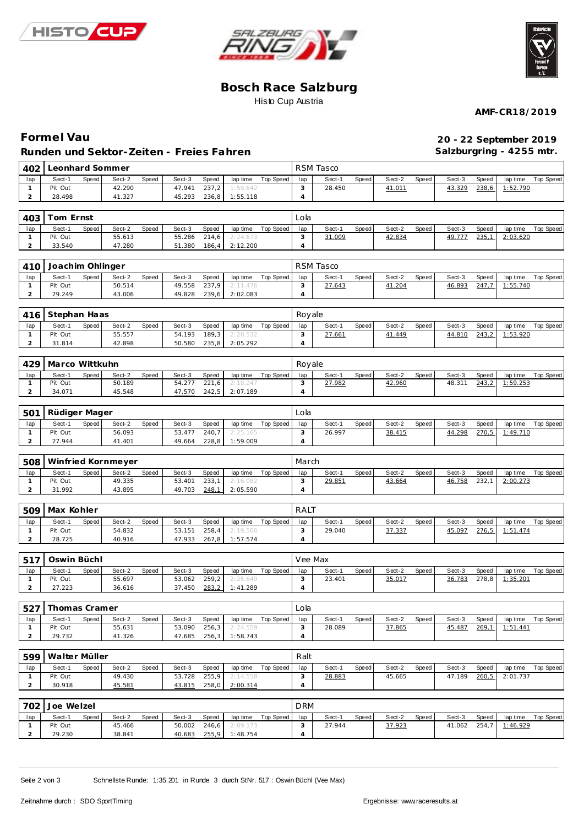





### **Bosch Race Salzburg** Histo Cup Austria

**AMF-CR18/2019**

### **Forme l Vau 20 - 22 September 2019 Runden und Sektor-Zeiten - Freies Fahren**

**Salzburgring - 4255 mtr.**

| 402            | Leonhard Sommer    |                 |                 | RSM Tasco          |                  |                |        |       |        |       |              |       |          |                    |
|----------------|--------------------|-----------------|-----------------|--------------------|------------------|----------------|--------|-------|--------|-------|--------------|-------|----------|--------------------|
| lap            | Sect-1<br>Speed    | Sect-2<br>Speed | Sect-3<br>Speed | lap time           | Top Speed        | lap            | Sect-1 | Speed | Sect-2 | Speed | Sect-3       | Speed | lap time | Top Speed          |
| $\mathbf{1}$   | Pit Out            | 42.290          | 47.941<br>237,2 | 1:59.642           |                  | 3              | 28.450 |       | 41.011 |       | 43.329       | 238,6 | 1:52.790 |                    |
| $\overline{a}$ | 28.498             | 41.327          | 45.293<br>236,8 | 1:55.118           |                  | $\overline{4}$ |        |       |        |       |              |       |          |                    |
| 403            | Tom Ernst          |                 | Lola            |                    |                  |                |        |       |        |       |              |       |          |                    |
| lap            | Sect-1<br>Speed    | Sect-2<br>Speed | Sect-3<br>Speed | lap time           | Top Speed        | lap            | Sect-1 | Speed | Sect-2 | Speed | Sect-3       | Speed | lap time | Top Speed          |
| $\mathbf{1}$   | Pit Out            | 55.613          | 55.286<br>214,6 | 2:24.673           |                  | 3              | 31.009 |       | 42.834 |       | 49.777       | 235,1 | 2:03.620 |                    |
| $\overline{a}$ | 33.540             | 47.280          | 51.380<br>186,4 | 2:12.200           |                  | 4              |        |       |        |       |              |       |          |                    |
| 410            | Joachim Ohlinger   |                 | RSM Tasco       |                    |                  |                |        |       |        |       |              |       |          |                    |
| lap            | Sect-1<br>Speed    | Sect-2<br>Speed | Sect-3<br>Speed | lap time           | Top Speed        | lap            | Sect-1 | Speed | Sect-2 | Speed | Sect-3       | Speed | lap time | Top Speed          |
| $\mathbf{1}$   | Pit Out            | 50.514          | 49.558<br>237,9 | 2:11.476           |                  | 3              | 27.643 |       | 41.204 |       | 46.893       | 247,7 | 1:55.740 |                    |
| 2              | 29.249             | 43.006          | 49.828<br>239,6 | 2:02.083           |                  | $\overline{4}$ |        |       |        |       |              |       |          |                    |
| 416            | Stephan Haas       |                 |                 |                    | Royale           |                |        |       |        |       |              |       |          |                    |
| lap            | Sect-1<br>Speed    | Sect-2<br>Speed | Sect-3<br>Speed | lap time           | <b>Top Speed</b> | lap            | Sect-1 | Speed | Sect-2 | Speed | Sect-3       | Speed | lap time | Top Speed          |
| $\mathbf{1}$   | Pit Out            | 55.557          | 54.193<br>189,3 | 2:28.532           |                  | 3              | 27.661 |       | 41.449 |       | 44.810       | 243,2 | 1:53.920 |                    |
| $\mathbf 2$    | 31.814             | 42.898          | 50.580<br>235,8 | 2:05.292           |                  | $\overline{4}$ |        |       |        |       |              |       |          |                    |
| 429            | Marco Wittkuhn     |                 |                 |                    |                  | Royale         |        |       |        |       |              |       |          |                    |
| lap            | Sect-1<br>Speed    | Sect-2<br>Speed | Sect-3<br>Speed | lap time           | Top Speed        | lap            | Sect-1 | Speed | Sect-2 | Speed | Sect-3       | Speed | lap time | Top Speed          |
| $\mathbf{1}$   | Pit Out            | 50.189          | 54.277<br>221,6 | 2:18.247           |                  | 3              | 27.982 |       | 42.960 |       | 48.311       | 243,2 | 1:59.253 |                    |
| $\overline{a}$ | 34.071             | 45.548          | 47.570<br>242,5 | 2:07.189           |                  | $\overline{4}$ |        |       |        |       |              |       |          |                    |
| 501            | Rüdiger Mager      |                 |                 |                    |                  | Lola           |        |       |        |       |              |       |          |                    |
| lap            | Sect-1<br>Speed    | Sect-2<br>Speed | Sect-3<br>Speed | lap time           | <b>Top Speed</b> | lap            | Sect-1 | Speed | Sect-2 | Speed | Sect-3       | Speed | lap time | Top Speed          |
| $\mathbf{1}$   | Pit Out            | 56.093          | 53.477<br>240,7 | 2:25.165           |                  | 3              | 26.997 |       | 38.415 |       | 44.298       | 270,5 | 1:49.710 |                    |
| $\overline{2}$ | 27.944             | 41.401          | 49.664<br>228,8 | 1:59.009           |                  | $\overline{4}$ |        |       |        |       |              |       |          |                    |
| 508            | Winfried Kornmeyer |                 |                 |                    |                  | March          |        |       |        |       |              |       |          |                    |
| lap            | Speed<br>Sect-1    | Sect-2<br>Speed | Speed<br>Sect-3 | lap time           | Top Speed        | lap            | Sect-1 | Speed | Sect-2 | Speed | Sect-3       | Speed | lap time | Top Speed          |
| $\mathbf{1}$   | Pit Out            | 49.335          | 53.401<br>233,1 | 2:16.082           |                  | 3              | 29.851 |       | 43.664 |       | 46.758       | 232,1 | 2:00.273 |                    |
| $\mathbf 2$    | 31.992             | 43.895          | 49.703<br>248,1 | 2:05.590           |                  | $\overline{4}$ |        |       |        |       |              |       |          |                    |
| 509            | Max Kohler         |                 |                 |                    |                  | RALT           |        |       |        |       |              |       |          |                    |
| lap            | Sect-1<br>Speed    | Sect-2<br>Speed | Sect-3<br>Speed | lap time           | Top Speed        | lap            | Sect-1 | Speed | Sect-2 | Speed | Sect-3       | Speed | lap time | Top Speed          |
| $\mathbf{1}$   | Pit Out            | 54.832          | 53.151<br>258,4 | 2:19.566           |                  | 3              | 29.040 |       | 37.337 |       | 45.097       | 276.5 | 1:51.474 |                    |
| $\overline{a}$ | 28.725             | 40.916          | 47.933<br>267,8 | 1:57.574           |                  | $\overline{4}$ |        |       |        |       |              |       |          |                    |
| 517            | Oswin Büchl        |                 |                 |                    |                  | Vee Max        |        |       |        |       |              |       |          |                    |
| lap            | Sect-1<br>Speed    | Sect-2<br>Speed | Sect-3<br>Speed | lap time           | Top Speed        | lap            | Sect-1 | Speed | Sect-2 | Speed | Sect-3       | Speed | lap time | Top Speed          |
| $\mathbf{1}$   | Pit Out            | 55.697          | 53.062<br>259,2 | 2:25.649           |                  | 3              | 23.401 |       | 35.017 |       | 36.783       | 278,8 | 1:35.201 |                    |
| $\overline{a}$ | 27.223             | 36.616          | 37.450<br>283,2 | 1:41.289           |                  | $\overline{4}$ |        |       |        |       |              |       |          |                    |
| 527            | Thomas Cramer      |                 |                 |                    |                  | Lola           |        |       |        |       |              |       |          |                    |
| lap            | Sect-1<br>Speed    | Sect-2<br>Speed | Sect-3<br>Speed | lap time           | Top Speed        | 1ap            | Sect-1 | Speed | Sect-2 | Speed | Sect-3       | Speed | lap time | Top Speed          |
| $\mathbf{1}$   | Pit Out            | 55.631          | 53.090<br>256,3 | 2:24.559           |                  | 3              | 28.089 |       | 37.865 |       | 45.487       | 269.1 | 1:51.441 |                    |
| $\overline{a}$ | 29.732             | 41.326          | 47.685<br>256,3 | 1:58.743           |                  | $\overline{4}$ |        |       |        |       |              |       |          |                    |
| 599            | Walter Müller      |                 | Ralt            |                    |                  |                |        |       |        |       |              |       |          |                    |
| lap            | Speed<br>Sect-1    | Sect-2<br>Speed | Sect-3<br>Speed | lap time Top Speed |                  | lap            | Sect-1 | Speed | Sect-2 | Speed | Sect-3       | Speed |          | lap time Top Speed |
| $\mathbf{1}$   | Pit Out            | 49.430          | 53.728<br>255,9 | 2:14.558           |                  | 3              | 28.883 |       | 45.665 |       | 47.189       | 260,5 | 2:01.737 |                    |
| $\overline{a}$ | 30.918             | 45.581          | 43.815<br>258,0 | 2:00.314           |                  | $\overline{4}$ |        |       |        |       |              |       |          |                    |
| 702            | Joe Welzel         |                 |                 |                    |                  | DRM            |        |       |        |       |              |       |          |                    |
| lap            | Sect-1<br>Speed    | Sect-2<br>Speed | Sect-3<br>Speed | lap time Top Speed |                  | lap            | Sect-1 | Speed | Sect-2 | Speed | Sect-3       | Speed |          | lap time Top Speed |
| $\mathbf{1}$   | Pit Out            | 45.466          | 50.002<br>246,6 | 2:09.173           |                  | 3              | 27.944 |       | 37.923 |       | 41.062 254,7 |       | 1:46.929 |                    |
| $\overline{2}$ | 29.230             | 38.841          | 40.683<br>255,9 | 1:48.754           |                  | $\overline{4}$ |        |       |        |       |              |       |          |                    |

Seite 2 von 3 Schnellste Runde: 1:35.201 in Runde 3 durch StNr. 517 : Oswin Büchl (Vee Max)